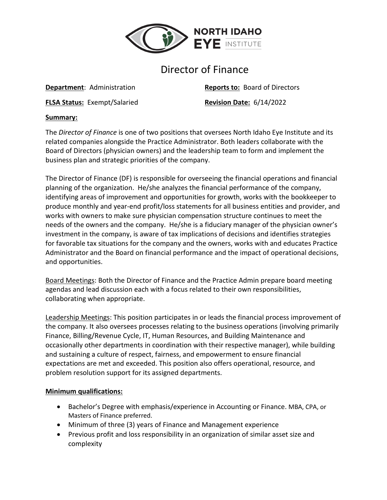

# Director of Finance

**FLSA Status:** Exempt/Salaried **Revision Date:** 6/14/2022

**Department:** Administration **Reports to:** Board of Directors

#### **Summary:**

The *Director of Finance* is one of two positions that oversees North Idaho Eye Institute and its related companies alongside the Practice Administrator. Both leaders collaborate with the Board of Directors (physician owners) and the leadership team to form and implement the business plan and strategic priorities of the company.

The Director of Finance (DF) is responsible for overseeing the financial operations and financial planning of the organization. He/she analyzes the financial performance of the company, identifying areas of improvement and opportunities for growth, works with the bookkeeper to produce monthly and year-end profit/loss statements for all business entities and provider, and works with owners to make sure physician compensation structure continues to meet the needs of the owners and the company. He/she is a fiduciary manager of the physician owner's investment in the company, is aware of tax implications of decisions and identifies strategies for favorable tax situations for the company and the owners, works with and educates Practice Administrator and the Board on financial performance and the impact of operational decisions, and opportunities.

Board Meetings: Both the Director of Finance and the Practice Admin prepare board meeting agendas and lead discussion each with a focus related to their own responsibilities, collaborating when appropriate.

Leadership Meetings: This position participates in or leads the financial process improvement of the company. It also oversees processes relating to the business operations (involving primarily Finance, Billing/Revenue Cycle, IT, Human Resources, and Building Maintenance and occasionally other departments in coordination with their respective manager), while building and sustaining a culture of respect, fairness, and empowerment to ensure financial expectations are met and exceeded. This position also offers operational, resource, and problem resolution support for its assigned departments.

## **Minimum qualifications:**

- Bachelor's Degree with emphasis/experience in Accounting or Finance. MBA, CPA, or Masters of Finance preferred.
- Minimum of three (3) years of Finance and Management experience
- Previous profit and loss responsibility in an organization of similar asset size and complexity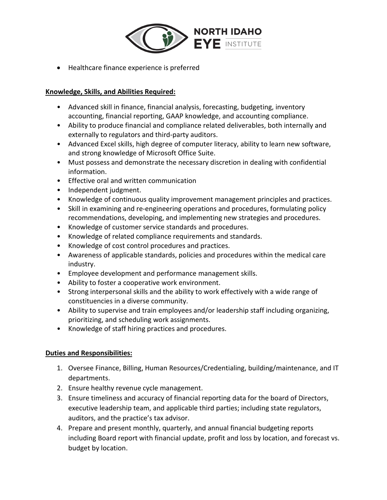

• Healthcare finance experience is preferred

## **Knowledge, Skills, and Abilities Required:**

- Advanced skill in finance, financial analysis, forecasting, budgeting, inventory accounting, financial reporting, GAAP knowledge, and accounting compliance.
- Ability to produce financial and compliance related deliverables, both internally and externally to regulators and third-party auditors.
- Advanced Excel skills, high degree of computer literacy, ability to learn new software, and strong knowledge of Microsoft Office Suite.
- Must possess and demonstrate the necessary discretion in dealing with confidential information.
- Effective oral and written communication
- Independent judgment.
- Knowledge of continuous quality improvement management principles and practices.
- Skill in examining and re-engineering operations and procedures, formulating policy recommendations, developing, and implementing new strategies and procedures.
- Knowledge of customer service standards and procedures.
- Knowledge of related compliance requirements and standards.
- Knowledge of cost control procedures and practices.
- Awareness of applicable standards, policies and procedures within the medical care industry.
- Employee development and performance management skills.
- Ability to foster a cooperative work environment.
- Strong interpersonal skills and the ability to work effectively with a wide range of constituencies in a diverse community.
- Ability to supervise and train employees and/or leadership staff including organizing, prioritizing, and scheduling work assignments.
- Knowledge of staff hiring practices and procedures.

## **Duties and Responsibilities:**

- 1. Oversee Finance, Billing, Human Resources/Credentialing, building/maintenance, and IT departments.
- 2. Ensure healthy revenue cycle management.
- 3. Ensure timeliness and accuracy of financial reporting data for the board of Directors, executive leadership team, and applicable third parties; including state regulators, auditors, and the practice's tax advisor.
- 4. Prepare and present monthly, quarterly, and annual financial budgeting reports including Board report with financial update, profit and loss by location, and forecast vs. budget by location.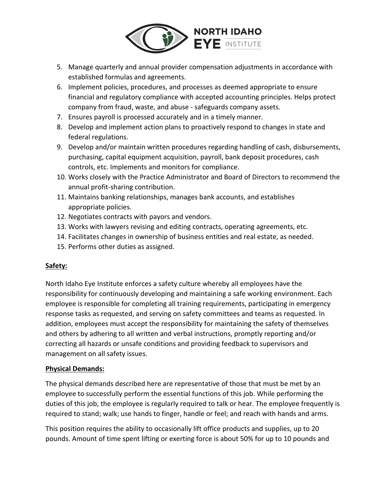

- 5. Manage quarterly and annual provider compensation adjustments in accordance with established formulas and agreements.
- 6. Implement policies, procedures, and processes as deemed appropriate to ensure financial and regulatory compliance with accepted accounting principles. Helps protect company from fraud, waste, and abuse - safeguards company assets.
- 7. Ensures payroll is processed accurately and in a timely manner.
- 8. Develop and implement action plans to proactively respond to changes in state and federal regulations.
- 9. Develop and/or maintain written procedures regarding handling of cash, disbursements, purchasing, capital equipment acquisition, payroll, bank deposit procedures, cash controls, etc. Implements and monitors for compliance.
- 10. Works closely with the Practice Administrator and Board of Directors to recommend the annual profit-sharing contribution.
- 11. Maintains banking relationships, manages bank accounts, and establishes appropriate policies.
- 12. Negotiates contracts with payors and vendors.
- 13. Works with lawyers revising and editing contracts, operating agreements, etc.
- 14. Facilitates changes in ownership of business entities and real estate, as needed.
- 15. Performs other duties as assigned.

## **Safety:**

North Idaho Eye Institute enforces a safety culture whereby all employees have the responsibility for continuously developing and maintaining a safe working environment. Each employee is responsible for completing all training requirements, participating in emergency response tasks as requested, and serving on safety committees and teams as requested. In addition, employees must accept the responsibility for maintaining the safety of themselves and others by adhering to all written and verbal instructions, promptly reporting and/or correcting all hazards or unsafe conditions and providing feedback to supervisors and management on all safety issues.

## **Physical Demands:**

The physical demands described here are representative of those that must be met by an employee to successfully perform the essential functions of this job. While performing the duties of this job, the employee is regularly required to talk or hear. The employee frequently is required to stand; walk; use hands to finger, handle or feel; and reach with hands and arms.

This position requires the ability to occasionally lift office products and supplies, up to 20 pounds. Amount of time spent lifting or exerting force is about 50% for up to 10 pounds and